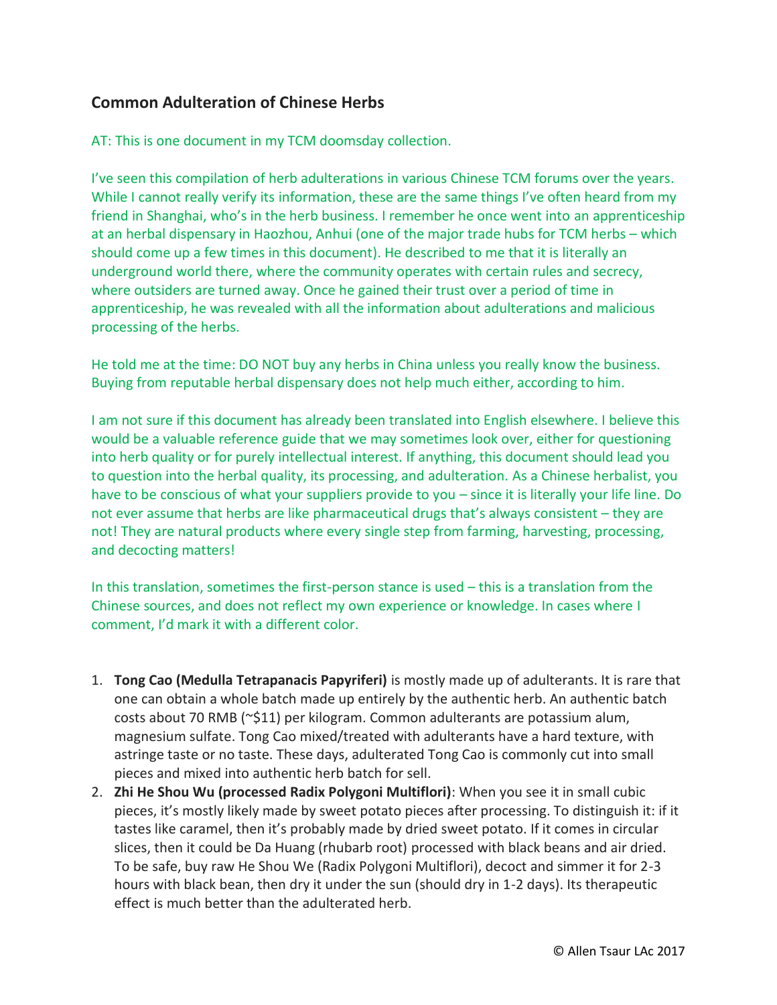## **Common Adulteration of Chinese Herbs**

AT: This is one document in my TCM doomsday collection.

I've seen this compilation of herb adulterations in various Chinese TCM forums over the years. While I cannot really verify its information, these are the same things I've often heard from my friend in Shanghai, who's in the herb business. I remember he once went into an apprenticeship at an herbal dispensary in Haozhou, Anhui (one of the major trade hubs for TCM herbs – which should come up a few times in this document). He described to me that it is literally an underground world there, where the community operates with certain rules and secrecy, where outsiders are turned away. Once he gained their trust over a period of time in apprenticeship, he was revealed with all the information about adulterations and malicious processing of the herbs.

He told me at the time: DO NOT buy any herbs in China unless you really know the business. Buying from reputable herbal dispensary does not help much either, according to him.

I am not sure if this document has already been translated into English elsewhere. I believe this would be a valuable reference guide that we may sometimes look over, either for questioning into herb quality or for purely intellectual interest. If anything, this document should lead you to question into the herbal quality, its processing, and adulteration. As a Chinese herbalist, you have to be conscious of what your suppliers provide to you – since it is literally your life line. Do not ever assume that herbs are like pharmaceutical drugs that's always consistent – they are not! They are natural products where every single step from farming, harvesting, processing, and decocting matters!

In this translation, sometimes the first-person stance is used – this is a translation from the Chinese sources, and does not reflect my own experience or knowledge. In cases where I comment, I'd mark it with a different color.

- 1. **Tong Cao (Medulla Tetrapanacis Papyriferi)** is mostly made up of adulterants. It is rare that one can obtain a whole batch made up entirely by the authentic herb. An authentic batch costs about 70 RMB (~\$11) per kilogram. Common adulterants are potassium alum, magnesium sulfate. Tong Cao mixed/treated with adulterants have a hard texture, with astringe taste or no taste. These days, adulterated Tong Cao is commonly cut into small pieces and mixed into authentic herb batch for sell.
- 2. **Zhi He Shou Wu (processed Radix Polygoni Multiflori)**: When you see it in small cubic pieces, it's mostly likely made by sweet potato pieces after processing. To distinguish it: if it tastes like caramel, then it's probably made by dried sweet potato. If it comes in circular slices, then it could be Da Huang (rhubarb root) processed with black beans and air dried. To be safe, buy raw He Shou We (Radix Polygoni Multiflori), decoct and simmer it for 2-3 hours with black bean, then dry it under the sun (should dry in 1-2 days). Its therapeutic effect is much better than the adulterated herb.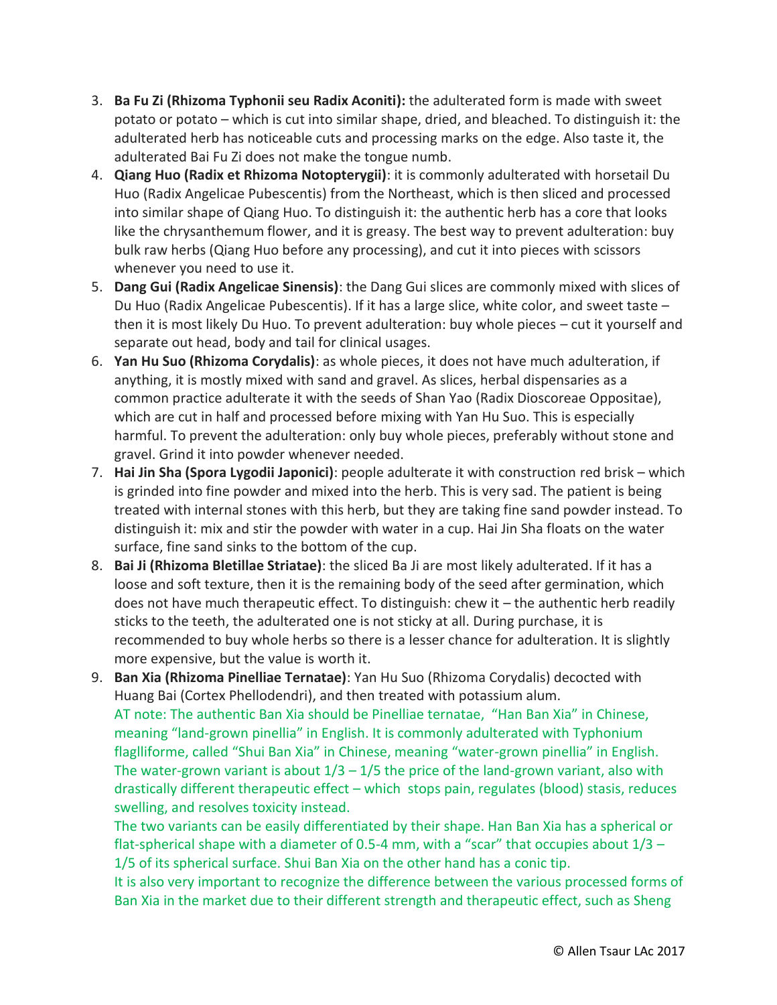- 3. **Ba Fu Zi (Rhizoma Typhonii seu Radix Aconiti):** the adulterated form is made with sweet potato or potato – which is cut into similar shape, dried, and bleached. To distinguish it: the adulterated herb has noticeable cuts and processing marks on the edge. Also taste it, the adulterated Bai Fu Zi does not make the tongue numb.
- 4. **Qiang Huo (Radix et Rhizoma Notopterygii)**: it is commonly adulterated with horsetail Du Huo (Radix Angelicae Pubescentis) from the Northeast, which is then sliced and processed into similar shape of Qiang Huo. To distinguish it: the authentic herb has a core that looks like the chrysanthemum flower, and it is greasy. The best way to prevent adulteration: buy bulk raw herbs (Qiang Huo before any processing), and cut it into pieces with scissors whenever you need to use it.
- 5. **Dang Gui (Radix Angelicae Sinensis)**: the Dang Gui slices are commonly mixed with slices of Du Huo (Radix Angelicae Pubescentis). If it has a large slice, white color, and sweet taste – then it is most likely Du Huo. To prevent adulteration: buy whole pieces – cut it yourself and separate out head, body and tail for clinical usages.
- 6. **Yan Hu Suo (Rhizoma Corydalis)**: as whole pieces, it does not have much adulteration, if anything, it is mostly mixed with sand and gravel. As slices, herbal dispensaries as a common practice adulterate it with the seeds of Shan Yao (Radix Dioscoreae Oppositae), which are cut in half and processed before mixing with Yan Hu Suo. This is especially harmful. To prevent the adulteration: only buy whole pieces, preferably without stone and gravel. Grind it into powder whenever needed.
- 7. **Hai Jin Sha (Spora Lygodii Japonici)**: people adulterate it with construction red brisk which is grinded into fine powder and mixed into the herb. This is very sad. The patient is being treated with internal stones with this herb, but they are taking fine sand powder instead. To distinguish it: mix and stir the powder with water in a cup. Hai Jin Sha floats on the water surface, fine sand sinks to the bottom of the cup.
- 8. **Bai Ji (Rhizoma Bletillae Striatae)**: the sliced Ba Ji are most likely adulterated. If it has a loose and soft texture, then it is the remaining body of the seed after germination, which does not have much therapeutic effect. To distinguish: chew it – the authentic herb readily sticks to the teeth, the adulterated one is not sticky at all. During purchase, it is recommended to buy whole herbs so there is a lesser chance for adulteration. It is slightly more expensive, but the value is worth it.
- 9. **Ban Xia (Rhizoma Pinelliae Ternatae)**: Yan Hu Suo (Rhizoma Corydalis) decocted with Huang Bai (Cortex Phellodendri), and then treated with potassium alum. AT note: The authentic Ban Xia should be Pinelliae ternatae, "Han Ban Xia" in Chinese, meaning "land-grown pinellia" in English. It is commonly adulterated with Typhonium flaglliforme, called "Shui Ban Xia" in Chinese, meaning "water-grown pinellia" in English. The water-grown variant is about  $1/3 - 1/5$  the price of the land-grown variant, also with drastically different therapeutic effect – which stops pain, regulates (blood) stasis, reduces swelling, and resolves toxicity instead.

The two variants can be easily differentiated by their shape. Han Ban Xia has a spherical or flat-spherical shape with a diameter of 0.5-4 mm, with a "scar" that occupies about  $1/3$  – 1/5 of its spherical surface. Shui Ban Xia on the other hand has a conic tip.

It is also very important to recognize the difference between the various processed forms of Ban Xia in the market due to their different strength and therapeutic effect, such as Sheng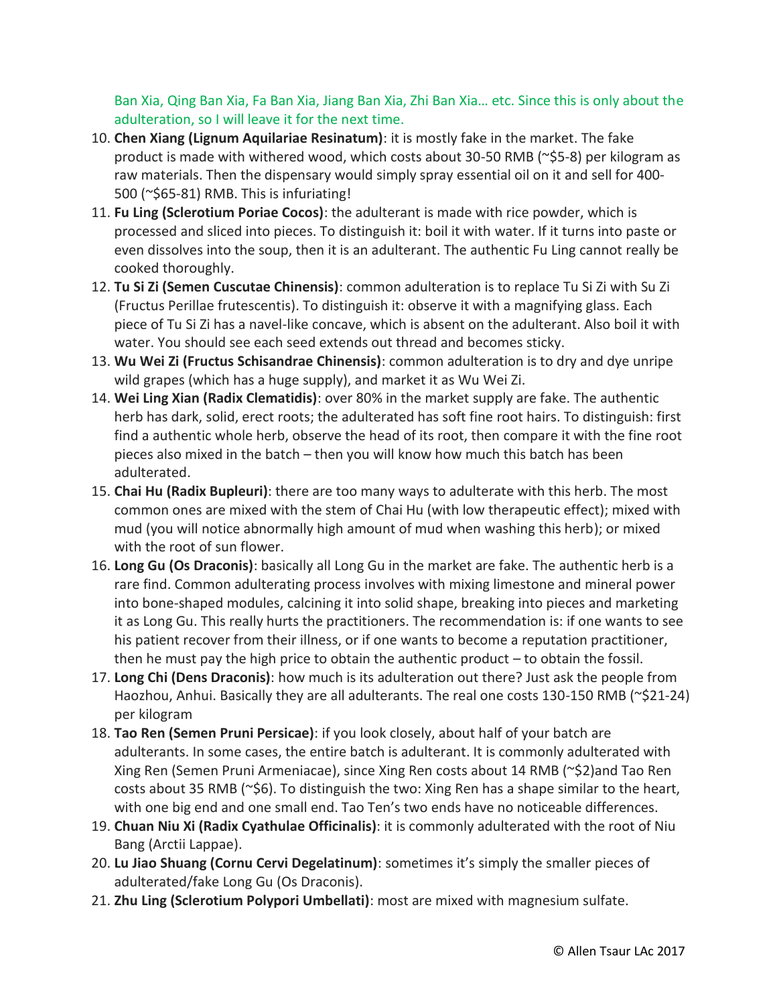Ban Xia, Qing Ban Xia, Fa Ban Xia, Jiang Ban Xia, Zhi Ban Xia… etc. Since this is only about the adulteration, so I will leave it for the next time.

- 10. **Chen Xiang (Lignum Aquilariae Resinatum)**: it is mostly fake in the market. The fake product is made with withered wood, which costs about 30-50 RMB (~\$5-8) per kilogram as raw materials. Then the dispensary would simply spray essential oil on it and sell for 400- 500 (~\$65-81) RMB. This is infuriating!
- 11. **Fu Ling (Sclerotium Poriae Cocos)**: the adulterant is made with rice powder, which is processed and sliced into pieces. To distinguish it: boil it with water. If it turns into paste or even dissolves into the soup, then it is an adulterant. The authentic Fu Ling cannot really be cooked thoroughly.
- 12. **Tu Si Zi (Semen Cuscutae Chinensis)**: common adulteration is to replace Tu Si Zi with Su Zi (Fructus Perillae frutescentis). To distinguish it: observe it with a magnifying glass. Each piece of Tu Si Zi has a navel-like concave, which is absent on the adulterant. Also boil it with water. You should see each seed extends out thread and becomes sticky.
- 13. **Wu Wei Zi (Fructus Schisandrae Chinensis)**: common adulteration is to dry and dye unripe wild grapes (which has a huge supply), and market it as Wu Wei Zi.
- 14. **Wei Ling Xian (Radix Clematidis)**: over 80% in the market supply are fake. The authentic herb has dark, solid, erect roots; the adulterated has soft fine root hairs. To distinguish: first find a authentic whole herb, observe the head of its root, then compare it with the fine root pieces also mixed in the batch – then you will know how much this batch has been adulterated.
- 15. **Chai Hu (Radix Bupleuri)**: there are too many ways to adulterate with this herb. The most common ones are mixed with the stem of Chai Hu (with low therapeutic effect); mixed with mud (you will notice abnormally high amount of mud when washing this herb); or mixed with the root of sun flower.
- 16. **Long Gu (Os Draconis)**: basically all Long Gu in the market are fake. The authentic herb is a rare find. Common adulterating process involves with mixing limestone and mineral power into bone-shaped modules, calcining it into solid shape, breaking into pieces and marketing it as Long Gu. This really hurts the practitioners. The recommendation is: if one wants to see his patient recover from their illness, or if one wants to become a reputation practitioner, then he must pay the high price to obtain the authentic product – to obtain the fossil.
- 17. **Long Chi (Dens Draconis)**: how much is its adulteration out there? Just ask the people from Haozhou, Anhui. Basically they are all adulterants. The real one costs 130-150 RMB (~\$21-24) per kilogram
- 18. **Tao Ren (Semen Pruni Persicae)**: if you look closely, about half of your batch are adulterants. In some cases, the entire batch is adulterant. It is commonly adulterated with Xing Ren (Semen Pruni Armeniacae), since Xing Ren costs about 14 RMB (~\$2)and Tao Ren costs about 35 RMB (~\$6). To distinguish the two: Xing Ren has a shape similar to the heart, with one big end and one small end. Tao Ten's two ends have no noticeable differences.
- 19. **Chuan Niu Xi (Radix Cyathulae Officinalis)**: it is commonly adulterated with the root of Niu Bang (Arctii Lappae).
- 20. **Lu Jiao Shuang (Cornu Cervi Degelatinum)**: sometimes it's simply the smaller pieces of adulterated/fake Long Gu (Os Draconis).
- 21. **Zhu Ling (Sclerotium Polypori Umbellati)**: most are mixed with magnesium sulfate.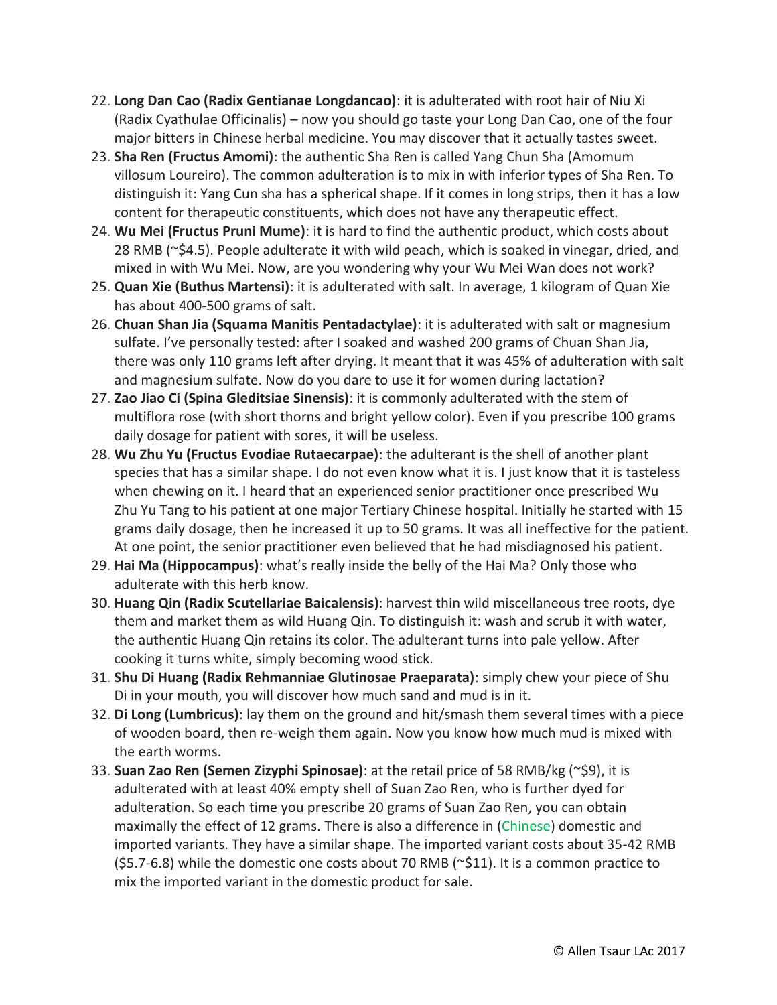- 22. **Long Dan Cao (Radix Gentianae Longdancao)**: it is adulterated with root hair of Niu Xi (Radix Cyathulae Officinalis) – now you should go taste your Long Dan Cao, one of the four major bitters in Chinese herbal medicine. You may discover that it actually tastes sweet.
- 23. **Sha Ren (Fructus Amomi)**: the authentic Sha Ren is called Yang Chun Sha (Amomum villosum Loureiro). The common adulteration is to mix in with inferior types of Sha Ren. To distinguish it: Yang Cun sha has a spherical shape. If it comes in long strips, then it has a low content for therapeutic constituents, which does not have any therapeutic effect.
- 24. **Wu Mei (Fructus Pruni Mume)**: it is hard to find the authentic product, which costs about 28 RMB (~\$4.5). People adulterate it with wild peach, which is soaked in vinegar, dried, and mixed in with Wu Mei. Now, are you wondering why your Wu Mei Wan does not work?
- 25. **Quan Xie (Buthus Martensi)**: it is adulterated with salt. In average, 1 kilogram of Quan Xie has about 400-500 grams of salt.
- 26. **Chuan Shan Jia (Squama Manitis Pentadactylae)**: it is adulterated with salt or magnesium sulfate. I've personally tested: after I soaked and washed 200 grams of Chuan Shan Jia, there was only 110 grams left after drying. It meant that it was 45% of adulteration with salt and magnesium sulfate. Now do you dare to use it for women during lactation?
- 27. **Zao Jiao Ci (Spina Gleditsiae Sinensis)**: it is commonly adulterated with the stem of multiflora rose (with short thorns and bright yellow color). Even if you prescribe 100 grams daily dosage for patient with sores, it will be useless.
- 28. **Wu Zhu Yu (Fructus Evodiae Rutaecarpae)**: the adulterant is the shell of another plant species that has a similar shape. I do not even know what it is. I just know that it is tasteless when chewing on it. I heard that an experienced senior practitioner once prescribed Wu Zhu Yu Tang to his patient at one major Tertiary Chinese hospital. Initially he started with 15 grams daily dosage, then he increased it up to 50 grams. It was all ineffective for the patient. At one point, the senior practitioner even believed that he had misdiagnosed his patient.
- 29. **Hai Ma (Hippocampus)**: what's really inside the belly of the Hai Ma? Only those who adulterate with this herb know.
- 30. **Huang Qin (Radix Scutellariae Baicalensis)**: harvest thin wild miscellaneous tree roots, dye them and market them as wild Huang Qin. To distinguish it: wash and scrub it with water, the authentic Huang Qin retains its color. The adulterant turns into pale yellow. After cooking it turns white, simply becoming wood stick.
- 31. **Shu Di Huang (Radix Rehmanniae Glutinosae Praeparata)**: simply chew your piece of Shu Di in your mouth, you will discover how much sand and mud is in it.
- 32. **Di Long (Lumbricus)**: lay them on the ground and hit/smash them several times with a piece of wooden board, then re-weigh them again. Now you know how much mud is mixed with the earth worms.
- 33. **Suan Zao Ren (Semen Zizyphi Spinosae)**: at the retail price of 58 RMB/kg (~\$9), it is adulterated with at least 40% empty shell of Suan Zao Ren, who is further dyed for adulteration. So each time you prescribe 20 grams of Suan Zao Ren, you can obtain maximally the effect of 12 grams. There is also a difference in (Chinese) domestic and imported variants. They have a similar shape. The imported variant costs about 35-42 RMB  $(55.7-6.8)$  while the domestic one costs about 70 RMB ( $\approx$ 511). It is a common practice to mix the imported variant in the domestic product for sale.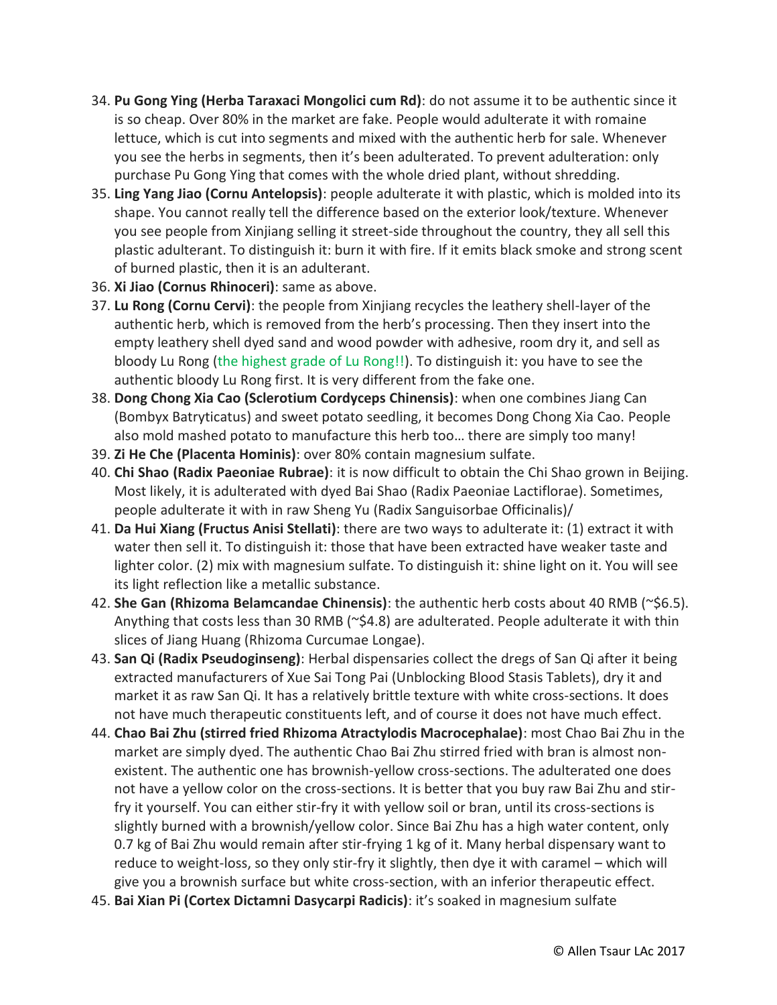- 34. **Pu Gong Ying (Herba Taraxaci Mongolici cum Rd)**: do not assume it to be authentic since it is so cheap. Over 80% in the market are fake. People would adulterate it with romaine lettuce, which is cut into segments and mixed with the authentic herb for sale. Whenever you see the herbs in segments, then it's been adulterated. To prevent adulteration: only purchase Pu Gong Ying that comes with the whole dried plant, without shredding.
- 35. **Ling Yang Jiao (Cornu Antelopsis)**: people adulterate it with plastic, which is molded into its shape. You cannot really tell the difference based on the exterior look/texture. Whenever you see people from Xinjiang selling it street-side throughout the country, they all sell this plastic adulterant. To distinguish it: burn it with fire. If it emits black smoke and strong scent of burned plastic, then it is an adulterant.
- 36. **Xi Jiao (Cornus Rhinoceri)**: same as above.
- 37. **Lu Rong (Cornu Cervi)**: the people from Xinjiang recycles the leathery shell-layer of the authentic herb, which is removed from the herb's processing. Then they insert into the empty leathery shell dyed sand and wood powder with adhesive, room dry it, and sell as bloody Lu Rong (the highest grade of Lu Rong!!). To distinguish it: you have to see the authentic bloody Lu Rong first. It is very different from the fake one.
- 38. **Dong Chong Xia Cao (Sclerotium Cordyceps Chinensis)**: when one combines Jiang Can (Bombyx Batryticatus) and sweet potato seedling, it becomes Dong Chong Xia Cao. People also mold mashed potato to manufacture this herb too… there are simply too many!
- 39. **Zi He Che (Placenta Hominis)**: over 80% contain magnesium sulfate.
- 40. **Chi Shao (Radix Paeoniae Rubrae)**: it is now difficult to obtain the Chi Shao grown in Beijing. Most likely, it is adulterated with dyed Bai Shao (Radix Paeoniae Lactiflorae). Sometimes, people adulterate it with in raw Sheng Yu (Radix Sanguisorbae Officinalis)/
- 41. **Da Hui Xiang (Fructus Anisi Stellati)**: there are two ways to adulterate it: (1) extract it with water then sell it. To distinguish it: those that have been extracted have weaker taste and lighter color. (2) mix with magnesium sulfate. To distinguish it: shine light on it. You will see its light reflection like a metallic substance.
- 42. **She Gan (Rhizoma Belamcandae Chinensis)**: the authentic herb costs about 40 RMB (~\$6.5). Anything that costs less than 30 RMB (~\$4.8) are adulterated. People adulterate it with thin slices of Jiang Huang (Rhizoma Curcumae Longae).
- 43. **San Qi (Radix Pseudoginseng)**: Herbal dispensaries collect the dregs of San Qi after it being extracted manufacturers of Xue Sai Tong Pai (Unblocking Blood Stasis Tablets), dry it and market it as raw San Qi. It has a relatively brittle texture with white cross-sections. It does not have much therapeutic constituents left, and of course it does not have much effect.
- 44. **Chao Bai Zhu (stirred fried Rhizoma Atractylodis Macrocephalae)**: most Chao Bai Zhu in the market are simply dyed. The authentic Chao Bai Zhu stirred fried with bran is almost nonexistent. The authentic one has brownish-yellow cross-sections. The adulterated one does not have a yellow color on the cross-sections. It is better that you buy raw Bai Zhu and stirfry it yourself. You can either stir-fry it with yellow soil or bran, until its cross-sections is slightly burned with a brownish/yellow color. Since Bai Zhu has a high water content, only 0.7 kg of Bai Zhu would remain after stir-frying 1 kg of it. Many herbal dispensary want to reduce to weight-loss, so they only stir-fry it slightly, then dye it with caramel – which will give you a brownish surface but white cross-section, with an inferior therapeutic effect.
- 45. **Bai Xian Pi (Cortex Dictamni Dasycarpi Radicis)**: it's soaked in magnesium sulfate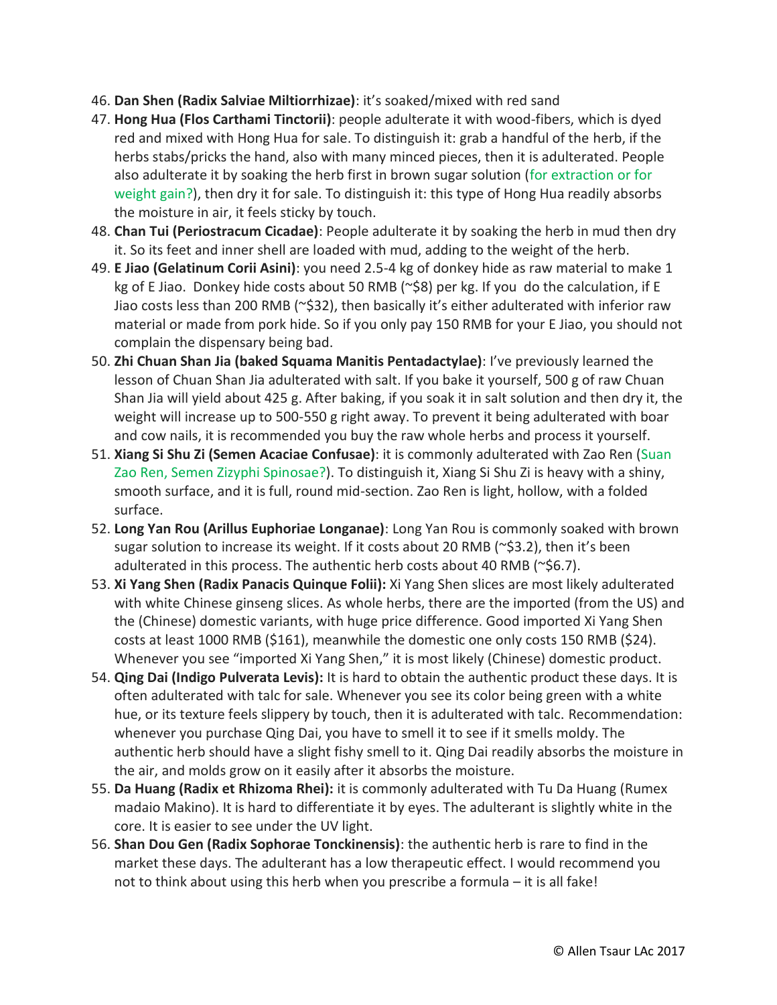- 46. **Dan Shen (Radix Salviae Miltiorrhizae)**: it's soaked/mixed with red sand
- 47. **Hong Hua (Flos Carthami Tinctorii)**: people adulterate it with wood-fibers, which is dyed red and mixed with Hong Hua for sale. To distinguish it: grab a handful of the herb, if the herbs stabs/pricks the hand, also with many minced pieces, then it is adulterated. People also adulterate it by soaking the herb first in brown sugar solution (for extraction or for weight gain?), then dry it for sale. To distinguish it: this type of Hong Hua readily absorbs the moisture in air, it feels sticky by touch.
- 48. **Chan Tui (Periostracum Cicadae)**: People adulterate it by soaking the herb in mud then dry it. So its feet and inner shell are loaded with mud, adding to the weight of the herb.
- 49. **E Jiao (Gelatinum Corii Asini)**: you need 2.5-4 kg of donkey hide as raw material to make 1 kg of E Jiao. Donkey hide costs about 50 RMB (~\$8) per kg. If you do the calculation, if E Jiao costs less than 200 RMB (~\$32), then basically it's either adulterated with inferior raw material or made from pork hide. So if you only pay 150 RMB for your E Jiao, you should not complain the dispensary being bad.
- 50. **Zhi Chuan Shan Jia (baked Squama Manitis Pentadactylae)**: I've previously learned the lesson of Chuan Shan Jia adulterated with salt. If you bake it yourself, 500 g of raw Chuan Shan Jia will yield about 425 g. After baking, if you soak it in salt solution and then dry it, the weight will increase up to 500-550 g right away. To prevent it being adulterated with boar and cow nails, it is recommended you buy the raw whole herbs and process it yourself.
- 51. **Xiang Si Shu Zi (Semen Acaciae Confusae)**: it is commonly adulterated with Zao Ren (Suan Zao Ren, Semen Zizyphi Spinosae?). To distinguish it, Xiang Si Shu Zi is heavy with a shiny, smooth surface, and it is full, round mid-section. Zao Ren is light, hollow, with a folded surface.
- 52. **Long Yan Rou (Arillus Euphoriae Longanae)**: Long Yan Rou is commonly soaked with brown sugar solution to increase its weight. If it costs about 20 RMB (~\$3.2), then it's been adulterated in this process. The authentic herb costs about 40 RMB (~\$6.7).
- 53. **Xi Yang Shen (Radix Panacis Quinque Folii):** Xi Yang Shen slices are most likely adulterated with white Chinese ginseng slices. As whole herbs, there are the imported (from the US) and the (Chinese) domestic variants, with huge price difference. Good imported Xi Yang Shen costs at least 1000 RMB (\$161), meanwhile the domestic one only costs 150 RMB (\$24). Whenever you see "imported Xi Yang Shen," it is most likely (Chinese) domestic product.
- 54. **Qing Dai (Indigo Pulverata Levis):** It is hard to obtain the authentic product these days. It is often adulterated with talc for sale. Whenever you see its color being green with a white hue, or its texture feels slippery by touch, then it is adulterated with talc. Recommendation: whenever you purchase Qing Dai, you have to smell it to see if it smells moldy. The authentic herb should have a slight fishy smell to it. Qing Dai readily absorbs the moisture in the air, and molds grow on it easily after it absorbs the moisture.
- 55. **Da Huang (Radix et Rhizoma Rhei):** it is commonly adulterated with Tu Da Huang (Rumex madaio Makino). It is hard to differentiate it by eyes. The adulterant is slightly white in the core. It is easier to see under the UV light.
- 56. **Shan Dou Gen (Radix Sophorae Tonckinensis)**: the authentic herb is rare to find in the market these days. The adulterant has a low therapeutic effect. I would recommend you not to think about using this herb when you prescribe a formula – it is all fake!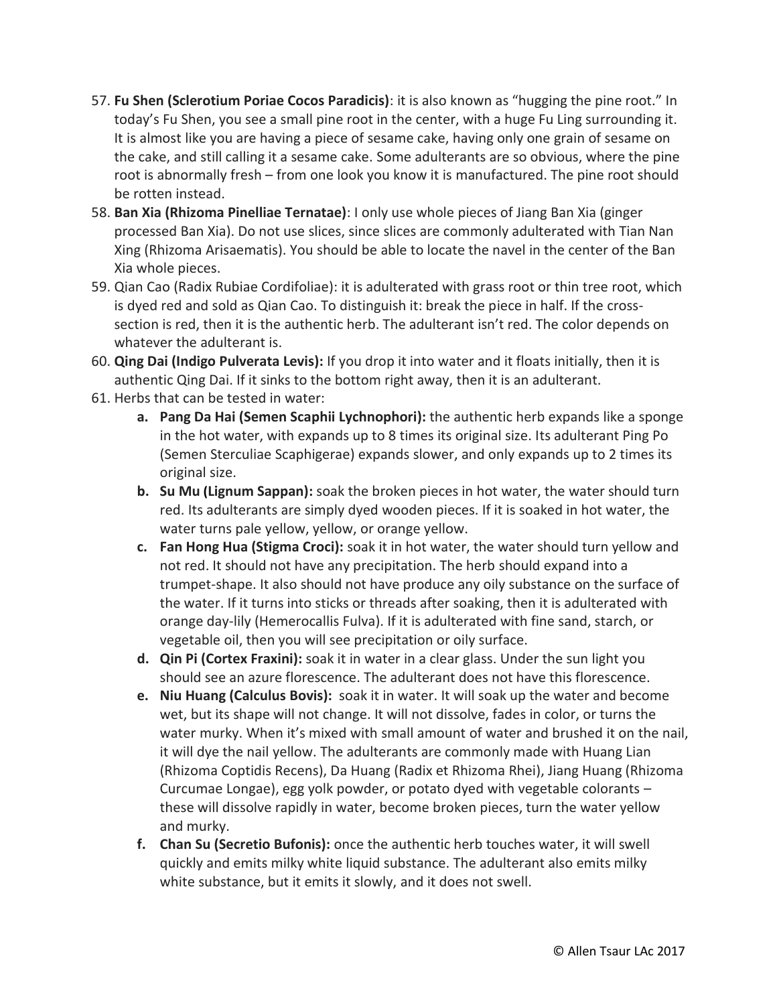- 57. **Fu Shen (Sclerotium Poriae Cocos Paradicis)**: it is also known as "hugging the pine root." In today's Fu Shen, you see a small pine root in the center, with a huge Fu Ling surrounding it. It is almost like you are having a piece of sesame cake, having only one grain of sesame on the cake, and still calling it a sesame cake. Some adulterants are so obvious, where the pine root is abnormally fresh – from one look you know it is manufactured. The pine root should be rotten instead.
- 58. **Ban Xia (Rhizoma Pinelliae Ternatae)**: I only use whole pieces of Jiang Ban Xia (ginger processed Ban Xia). Do not use slices, since slices are commonly adulterated with Tian Nan Xing (Rhizoma Arisaematis). You should be able to locate the navel in the center of the Ban Xia whole pieces.
- 59. Qian Cao (Radix Rubiae Cordifoliae): it is adulterated with grass root or thin tree root, which is dyed red and sold as Qian Cao. To distinguish it: break the piece in half. If the crosssection is red, then it is the authentic herb. The adulterant isn't red. The color depends on whatever the adulterant is.
- 60. **Qing Dai (Indigo Pulverata Levis):** If you drop it into water and it floats initially, then it is authentic Qing Dai. If it sinks to the bottom right away, then it is an adulterant.
- 61. Herbs that can be tested in water:
	- **a. Pang Da Hai (Semen Scaphii Lychnophori):** the authentic herb expands like a sponge in the hot water, with expands up to 8 times its original size. Its adulterant Ping Po (Semen Sterculiae Scaphigerae) expands slower, and only expands up to 2 times its original size.
	- **b. Su Mu (Lignum Sappan):** soak the broken pieces in hot water, the water should turn red. Its adulterants are simply dyed wooden pieces. If it is soaked in hot water, the water turns pale yellow, yellow, or orange yellow.
	- **c. Fan Hong Hua (Stigma Croci):** soak it in hot water, the water should turn yellow and not red. It should not have any precipitation. The herb should expand into a trumpet-shape. It also should not have produce any oily substance on the surface of the water. If it turns into sticks or threads after soaking, then it is adulterated with orange day-lily (Hemerocallis Fulva). If it is adulterated with fine sand, starch, or vegetable oil, then you will see precipitation or oily surface.
	- **d. Qin Pi (Cortex Fraxini):** soak it in water in a clear glass. Under the sun light you should see an azure florescence. The adulterant does not have this florescence.
	- **e. Niu Huang (Calculus Bovis):** soak it in water. It will soak up the water and become wet, but its shape will not change. It will not dissolve, fades in color, or turns the water murky. When it's mixed with small amount of water and brushed it on the nail, it will dye the nail yellow. The adulterants are commonly made with Huang Lian (Rhizoma Coptidis Recens), Da Huang (Radix et Rhizoma Rhei), Jiang Huang (Rhizoma Curcumae Longae), egg yolk powder, or potato dyed with vegetable colorants – these will dissolve rapidly in water, become broken pieces, turn the water yellow and murky.
	- **f. Chan Su (Secretio Bufonis):** once the authentic herb touches water, it will swell quickly and emits milky white liquid substance. The adulterant also emits milky white substance, but it emits it slowly, and it does not swell.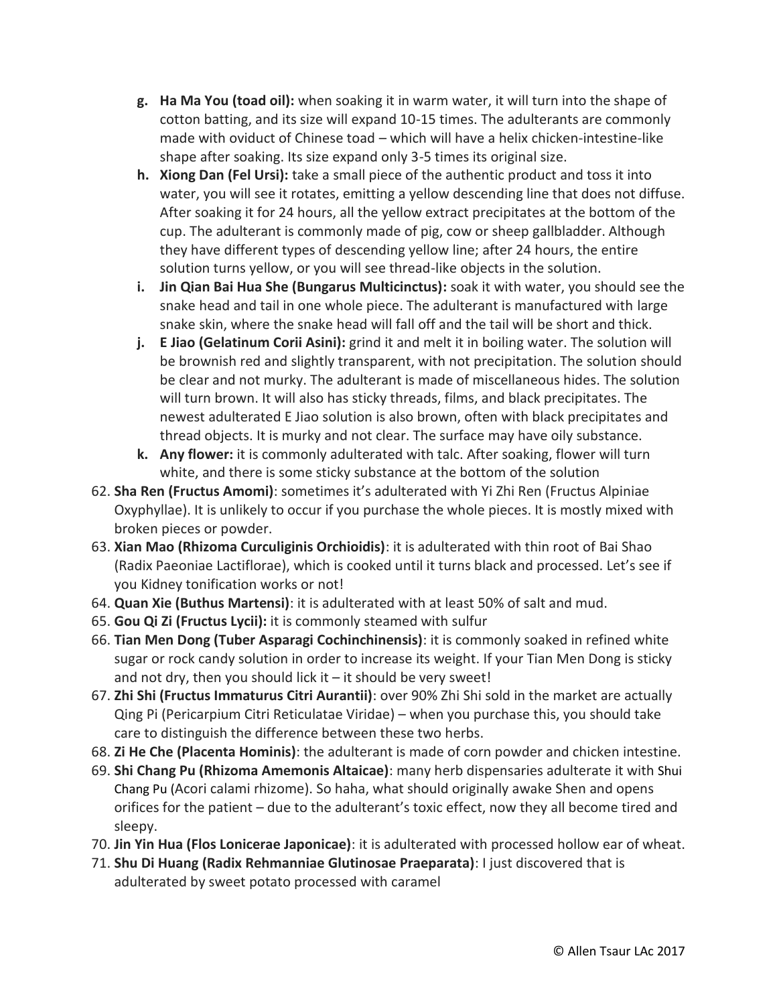- **g. Ha Ma You (toad oil):** when soaking it in warm water, it will turn into the shape of cotton batting, and its size will expand 10-15 times. The adulterants are commonly made with oviduct of Chinese toad – which will have a helix chicken-intestine-like shape after soaking. Its size expand only 3-5 times its original size.
- **h. Xiong Dan (Fel Ursi):** take a small piece of the authentic product and toss it into water, you will see it rotates, emitting a yellow descending line that does not diffuse. After soaking it for 24 hours, all the yellow extract precipitates at the bottom of the cup. The adulterant is commonly made of pig, cow or sheep gallbladder. Although they have different types of descending yellow line; after 24 hours, the entire solution turns yellow, or you will see thread-like objects in the solution.
- **i. Jin Qian Bai Hua She (Bungarus Multicinctus):** soak it with water, you should see the snake head and tail in one whole piece. The adulterant is manufactured with large snake skin, where the snake head will fall off and the tail will be short and thick.
- **j. E Jiao (Gelatinum Corii Asini):** grind it and melt it in boiling water. The solution will be brownish red and slightly transparent, with not precipitation. The solution should be clear and not murky. The adulterant is made of miscellaneous hides. The solution will turn brown. It will also has sticky threads, films, and black precipitates. The newest adulterated E Jiao solution is also brown, often with black precipitates and thread objects. It is murky and not clear. The surface may have oily substance.
- **k. Any flower:** it is commonly adulterated with talc. After soaking, flower will turn white, and there is some sticky substance at the bottom of the solution
- 62. **Sha Ren (Fructus Amomi)**: sometimes it's adulterated with Yi Zhi Ren (Fructus Alpiniae Oxyphyllae). It is unlikely to occur if you purchase the whole pieces. It is mostly mixed with broken pieces or powder.
- 63. **Xian Mao (Rhizoma Curculiginis Orchioidis)**: it is adulterated with thin root of Bai Shao (Radix Paeoniae Lactiflorae), which is cooked until it turns black and processed. Let's see if you Kidney tonification works or not!
- 64. **Quan Xie (Buthus Martensi)**: it is adulterated with at least 50% of salt and mud.
- 65. **Gou Qi Zi (Fructus Lycii):** it is commonly steamed with sulfur
- 66. **Tian Men Dong (Tuber Asparagi Cochinchinensis)**: it is commonly soaked in refined white sugar or rock candy solution in order to increase its weight. If your Tian Men Dong is sticky and not dry, then you should lick it  $-$  it should be very sweet!
- 67. **Zhi Shi (Fructus Immaturus Citri Aurantii)**: over 90% Zhi Shi sold in the market are actually Qing Pi (Pericarpium Citri Reticulatae Viridae) – when you purchase this, you should take care to distinguish the difference between these two herbs.
- 68. **Zi He Che (Placenta Hominis)**: the adulterant is made of corn powder and chicken intestine.
- 69. **Shi Chang Pu (Rhizoma Amemonis Altaicae)**: many herb dispensaries adulterate it with Shui Chang Pu (Acori calami rhizome). So haha, what should originally awake Shen and opens orifices for the patient – due to the adulterant's toxic effect, now they all become tired and sleepy.
- 70. **Jin Yin Hua (Flos Lonicerae Japonicae)**: it is adulterated with processed hollow ear of wheat.
- 71. **Shu Di Huang (Radix Rehmanniae Glutinosae Praeparata)**: I just discovered that is adulterated by sweet potato processed with caramel